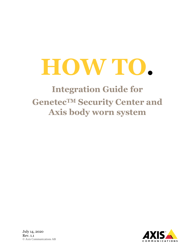# **HOW TO.**

## **Integration Guide for GenetecTM Security Center and Axis body worn system**



July 14, 2020 Rev. 1.1 © Axis Communications AB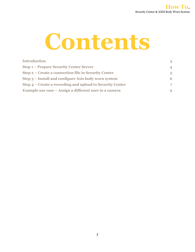

| <b>Introduction</b>                                       | 3        |
|-----------------------------------------------------------|----------|
| <b>Step 1 – Prepare Security Center Server</b>            | $\Delta$ |
| Step 2 – Create a connection file in Security Center      | 5        |
| Step 3 – Install and configure Axis body worn system      | 6        |
| Step 4 – Create a recording and upload to Security Center | 7        |
| Example use case – Assign a different user to a camera    | -9       |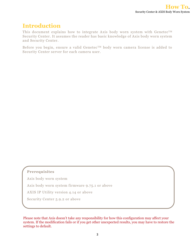### **Introduction**

This document explains how to integrate Axis body worn system with Genetec<sup>TM</sup> Security Center. It assumes the reader has basic knowledge of Axis body worn system and Security Center.

Before you begin, ensure a valid Genetec™ body worn camera license is added to Security Center server for each camera user.

#### **Prerequisites**

Axis body worn system

Axis body worn system firmware 9.75.1 or above

AXIS IP Utility version 4.14 or above

Security Center 5.9.2 or above

Please note that Axis doesn't take any responsibility for how this configuration may affect your system. If the modification fails or if you get other unexpected results, you may have to restore the settings to default.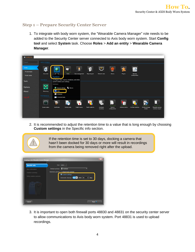#### **Step 1 – Prepare Security Center Server**

1. To integrate with body worn system, the "Wearable Camera Manager" role needs to be added to the Security Center server connected to Axis body worn system. Start **Config tool** and select **System** task. Choose **Roles** > **Add an entity** > **Wearable Camera Manager**.



2. It is recommended to adjust the retention time to a value that is long enough by choosing **Custom settings** in the Specific info section.



If the retention time is set to 30 days, docking a camera that hasn't been docked for 30 days or more will result in recordings from the camera being removed right after the upload.



3. It is important to open both firewall ports 48830 and 48831 on the security center server to allow communications to Axis body worn system. Port 48831 is used to upload recordings.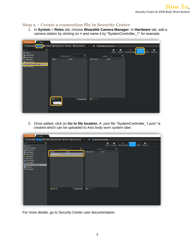#### **Step 2 – Create a connection file in Security Center**

1. In **System** > **Roles** tab, choose **Wearable Camera Manager**. In **Hardware** tab, add a camera station by clicking on **+** and name it by "SystemController\_1" for example.

| <b>A</b> Config Tool<br>System                     |                                                                        |                           |           |                         |                                      |            |                    |                             |           |
|----------------------------------------------------|------------------------------------------------------------------------|---------------------------|-----------|-------------------------|--------------------------------------|------------|--------------------|-----------------------------|-----------|
| <b>General settings</b><br><b>Roles</b>            | Schedules <b>of</b> Scheduled tasks S Macros <b>3</b> Output behaviors |                           |           | $\langle \rangle$ = 12. | <sup>6</sup> Wearable Camera Manager |            |                    |                             |           |
| Ÿ<br>Search                                        |                                                                        |                           |           |                         | 顧                                    | 圈          | a.                 | G                           | 聖         |
| Archiver                                           |                                                                        |                           |           |                         | Identity                             | Properties | Recording settings | Hardware<br><b>Officers</b> | Resources |
| <b>B</b> Health Monitor                            | <b>Camera stations:</b> Search                                         |                           | $\bullet$ |                         | Cameras: Search                      | $\bullet$  |                    |                             |           |
| Map Manager                                        |                                                                        |                           |           |                         |                                      |            |                    |                             |           |
| <b>T</b> Media Router                              | Name -                                                                 | Action                    |           | Serial number -         | Name                                 |            |                    |                             |           |
| Report Manager<br><b>6</b> Wearable Camera Manager |                                                                        |                           |           |                         |                                      |            |                    |                             |           |
| <b>B</b> Zone Manager                              |                                                                        |                           |           |                         |                                      |            |                    |                             |           |
|                                                    |                                                                        |                           |           |                         |                                      |            |                    |                             |           |
|                                                    |                                                                        |                           |           |                         |                                      |            |                    |                             |           |
|                                                    |                                                                        |                           |           |                         |                                      |            |                    |                             |           |
|                                                    |                                                                        |                           |           |                         |                                      |            |                    |                             |           |
|                                                    |                                                                        |                           |           |                         |                                      |            |                    |                             |           |
|                                                    |                                                                        |                           |           |                         |                                      |            |                    |                             |           |
|                                                    |                                                                        |                           |           |                         |                                      |            |                    |                             |           |
|                                                    |                                                                        |                           |           |                         |                                      |            |                    |                             |           |
|                                                    |                                                                        |                           |           |                         |                                      |            |                    |                             |           |
|                                                    |                                                                        |                           |           |                         |                                      |            |                    |                             |           |
|                                                    |                                                                        |                           |           |                         |                                      |            |                    |                             |           |
|                                                    | ÷                                                                      |                           |           | $+ 1.77$                |                                      |            |                    |                             |           |
|                                                    |                                                                        | $\bigcirc$ Regenerate all |           |                         |                                      |            |                    |                             |           |
|                                                    | Add an item                                                            |                           |           |                         |                                      |            |                    |                             |           |
|                                                    |                                                                        |                           |           |                         |                                      |            |                    |                             |           |
|                                                    |                                                                        |                           |           |                         |                                      |            |                    |                             |           |
|                                                    |                                                                        |                           |           |                         |                                      |            |                    |                             |           |
|                                                    |                                                                        |                           |           |                         |                                      |            |                    |                             |           |

2. Once added, click on **Go to file location**. A .json file "SystemController\_1.json" is created which can be uploaded to Axis body worn system later.

| <b>A</b> Config Tool<br>System    |                                                                                                                          |                                                                    |                                                      |
|-----------------------------------|--------------------------------------------------------------------------------------------------------------------------|--------------------------------------------------------------------|------------------------------------------------------|
|                                   | General settings <b>AR</b> Roles <b>BR</b> Schedules <b>CR</b> Scheduled tasks <b>S</b> Macros <b>B</b> Output behaviors | <sup>6</sup> Wearable Camera Manager<br>$\langle \cdot \rangle$ in |                                                      |
| $\overline{\mathbf{r}}$<br>Search |                                                                                                                          | 匷<br>團                                                             | $\circ$<br>看<br>G<br>$\blacksquare$                  |
| Archiver                          |                                                                                                                          | Identity<br>Properties                                             | Officers Resources<br>Recording settings<br>Hardware |
| <b>Directory Manager</b>          | $\bullet$<br>Camera stations: Search                                                                                     | Cameras: Search                                                    | $\bullet$                                            |
| <b>B</b> Health Monitor           |                                                                                                                          |                                                                    |                                                      |
| Map Manager                       | Action<br>Name -                                                                                                         | Name<br>Serial number -                                            |                                                      |
| Media Gateway                     | Go to file location<br>SystemController_1                                                                                |                                                                    |                                                      |
| $\frac{2}{3}$ Media Router        |                                                                                                                          |                                                                    |                                                      |
| Mobile Server                     |                                                                                                                          |                                                                    |                                                      |
| Report Manager                    |                                                                                                                          |                                                                    |                                                      |
| <b>St.</b> Unit Assistant         |                                                                                                                          |                                                                    |                                                      |
| Wearable Camera Manager           |                                                                                                                          |                                                                    |                                                      |
| <b>O</b> Web Server               |                                                                                                                          |                                                                    |                                                      |
| 7 Zone Manager                    |                                                                                                                          |                                                                    |                                                      |
|                                   |                                                                                                                          |                                                                    |                                                      |
|                                   |                                                                                                                          |                                                                    |                                                      |
|                                   |                                                                                                                          |                                                                    |                                                      |
|                                   |                                                                                                                          |                                                                    |                                                      |
|                                   |                                                                                                                          |                                                                    |                                                      |
|                                   |                                                                                                                          |                                                                    |                                                      |
|                                   |                                                                                                                          |                                                                    |                                                      |
|                                   |                                                                                                                          |                                                                    |                                                      |
|                                   | $+ \times 1$<br>$\bigcirc$ Regenerate all                                                                                | $+ 1 \times 1$                                                     |                                                      |
|                                   |                                                                                                                          |                                                                    |                                                      |
|                                   |                                                                                                                          |                                                                    |                                                      |
|                                   |                                                                                                                          |                                                                    |                                                      |
|                                   |                                                                                                                          |                                                                    |                                                      |
|                                   |                                                                                                                          |                                                                    |                                                      |
|                                   |                                                                                                                          |                                                                    |                                                      |
|                                   |                                                                                                                          |                                                                    |                                                      |

For more details, go to Security Center user documentation.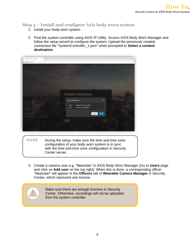#### **Step 3 – Install and configure Axis body worn system**

- 1. Install your body worn system.
- 2. Find the system controller using AXIS IP Utility. Access AXIS Body Worn Manager and follow the setup wizard to configure the system. Upload the previously created connection file "SystemController\_1.json" when prompted to **Select a content destination**.

| AXIS Body Worn Manager<br>$\times$ + |                                                                  |          |  |
|--------------------------------------|------------------------------------------------------------------|----------|--|
| 25.164.205/#/setup                   |                                                                  |          |  |
|                                      |                                                                  |          |  |
|                                      |                                                                  |          |  |
|                                      |                                                                  |          |  |
|                                      |                                                                  |          |  |
|                                      |                                                                  |          |  |
|                                      |                                                                  |          |  |
|                                      |                                                                  |          |  |
|                                      |                                                                  |          |  |
|                                      |                                                                  |          |  |
|                                      |                                                                  |          |  |
|                                      | Save configuration                                               | $\times$ |  |
|                                      |                                                                  |          |  |
|                                      | Genetec™ Security Center<br>Name<br>Site<br>172.25.164.201:48830 |          |  |
|                                      |                                                                  |          |  |
|                                      | Cancel                                                           | Save     |  |
|                                      |                                                                  |          |  |
|                                      |                                                                  |          |  |
|                                      |                                                                  |          |  |
|                                      |                                                                  |          |  |
|                                      |                                                                  |          |  |

- **NOTE** During the setup, make sure the time and time zone configuration of your body worn system is in sync with the time and time zone configuration in Security Center server.
- 3. Create a camera user e.g. "NewUser" in AXIS Body Worn Manager (Go to **Users** page and click on **Add user** on the top right). When this is done, a corresponding officer "NewUser" will appear in the **Officers** tab of **Wearable Camera Manager** in Security Center, which represent one license.



Make sure there are enough licenses in Security Center. Otherwise, recordings will not be uploaded from the system controller.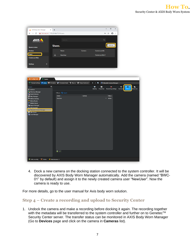| A AXIS Body Worn Manager<br>$\times$                                                                                | $\qquad \qquad +$  |        | $\Box$                                                   | $\times$                          |
|---------------------------------------------------------------------------------------------------------------------|--------------------|--------|----------------------------------------------------------|-----------------------------------|
| $\leftarrow$ $\rightarrow$ C' <b>A</b> Not secure   172.25.164.77/?#/users                                          |                    |        | → ☆ ● :                                                  |                                   |
|                                                                                                                     |                    |        |                                                          |                                   |
| <b>AXIS</b>                                                                                                         | Search.            |        | $\alpha$                                                 |                                   |
|                                                                                                                     |                    |        |                                                          |                                   |
| <b>System status</b>                                                                                                | Users.             |        | Add user                                                 |                                   |
| <b>Devices</b>                                                                                                      | Name               | Camera | Camera profile                                           |                                   |
| <b>Users</b>                                                                                                        | ∸<br>NewUser       |        | Camera profile 2                                         |                                   |
| <b>Camera profiles</b>                                                                                              |                    |        |                                                          |                                   |
|                                                                                                                     |                    |        |                                                          |                                   |
| $\ddot{}$<br><b>Settings</b>                                                                                        |                    |        |                                                          |                                   |
|                                                                                                                     |                    |        |                                                          |                                   |
|                                                                                                                     |                    |        |                                                          |                                   |
|                                                                                                                     |                    |        |                                                          |                                   |
| <b>A</b> Config Tool<br>System                                                                                      | $\times$           |        |                                                          |                                   |
| General settings <b>the Roles CO</b> Schedules <b>CO</b> Scheduled tasks <b>S</b> Macros <b>CO</b> Output behaviors |                    |        | $\leftarrow$ > m<br><sup>1</sup> Wearable Camera Manager |                                   |
| $\overline{\P}$<br>Search                                                                                           |                    |        | 團<br>PS                                                  | ٥<br>監<br>œ                       |
| Archiver                                                                                                            |                    |        | Identity<br>Recording settings<br>Properties             | Officers<br>Hardware<br>Resources |
| <b>Directory Manager</b>                                                                                            | Officers: Q Search |        |                                                          |                                   |
| <b>B</b> Health Monitor<br>Map Manager                                                                              | Name A             | Camera | Status                                                   |                                   |
| Media Gateway                                                                                                       | NewUser            |        | Active                                                   |                                   |
| $\frac{2}{1}$ Media Router<br>Mobile Server                                                                         |                    |        |                                                          |                                   |
| Report Manager                                                                                                      |                    |        |                                                          |                                   |
| <b>Whit Assistant</b><br><b>D</b> Wearable Camera Manager                                                           |                    |        |                                                          |                                   |
| Web Server                                                                                                          |                    |        |                                                          |                                   |
| 7 Zone Manager                                                                                                      |                    |        |                                                          |                                   |
|                                                                                                                     |                    |        |                                                          |                                   |
|                                                                                                                     |                    |        |                                                          |                                   |
|                                                                                                                     |                    |        |                                                          |                                   |
|                                                                                                                     |                    |        |                                                          |                                   |
|                                                                                                                     |                    |        |                                                          |                                   |
|                                                                                                                     |                    |        |                                                          |                                   |
|                                                                                                                     |                    |        |                                                          |                                   |
|                                                                                                                     |                    |        |                                                          |                                   |
|                                                                                                                     |                    |        |                                                          |                                   |
|                                                                                                                     |                    |        |                                                          |                                   |
|                                                                                                                     | $+ 1x+$            |        |                                                          |                                   |
|                                                                                                                     |                    |        |                                                          |                                   |
| X Delete<br>Add an entity                                                                                           | Maintenance        |        |                                                          |                                   |

4. Dock a new camera on the docking station connected to the system controller. It will be discovered by AXIS Body Worn Manager automatically. Add the camera (named "BWC-01" by default) and assign it to the newly created camera user "NewUser". Now the camera is ready to use.

For more details, go to the user manual for Axis body worn solution.

#### **Step 4 – Create a recording and upload to Security Center**

1. Undock the camera and make a recording before docking it again. The recording together with the metadata will be transferred to the system controller and further on to Genetec™ Security Center server. The transfer status can be monitored in AXIS Body Worn Manager (Go to **Devices** page and click on the camera in **Cameras** list).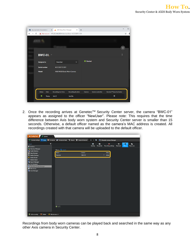|                                    | SecurityCenter ServerAdmin   | A AXIS Body Worn Manager<br>$\times$                     | $\times$<br>$\ddot{}$     |                 |                          |                          | -        |
|------------------------------------|------------------------------|----------------------------------------------------------|---------------------------|-----------------|--------------------------|--------------------------|----------|
| $\rightarrow$<br>C<br>$\leftarrow$ |                              | A Not secure   172.25.164.205/#/devices?bwc=ACCC8EF213E9 |                           |                 |                          |                          | ☆        |
|                                    |                              |                                                          |                           |                 |                          |                          |          |
|                                    |                              |                                                          |                           |                 |                          |                          | $\times$ |
|                                    | <b>BWC-01.</b>               |                                                          |                           |                 |                          |                          | ÷        |
|                                    | <b>Assigned to</b>           | <b>NewUser</b>                                           | $\checkmark$              | <b>O</b> Docked |                          |                          |          |
|                                    | <b>Serial number</b>         | ACCC8EF213E9                                             |                           |                 |                          |                          |          |
|                                    | <b>Model</b>                 | AXIS W100 Body Worn Camera                               |                           |                 |                          |                          |          |
|                                    |                              |                                                          |                           |                 |                          |                          |          |
|                                    | <b>Status</b><br><b>Date</b> | <b>Recording start time</b>                              | <b>Recording duration</b> | Camera          | <b>System controller</b> | Genetec™ Security Center |          |
|                                    | ◉<br><b>Today</b>            | 16:12                                                    | 1m 26s                    |                 |                          |                          |          |

2. Once the recording arrives at Genetec™ Security Center server, the camera "BWC-01" appears as assigned to the officer "NewUser". Please note: This requires that the time difference between Axis body worn system and Security Center server is smaller than 15 seconds. Otherwise, a default officer named as the camera's MAC address is created. All recordings created with that camera will be uploaded to the default officer.



Recordings from body worn cameras can be played back and searched in the same way as any other Axis camera in Security Center.